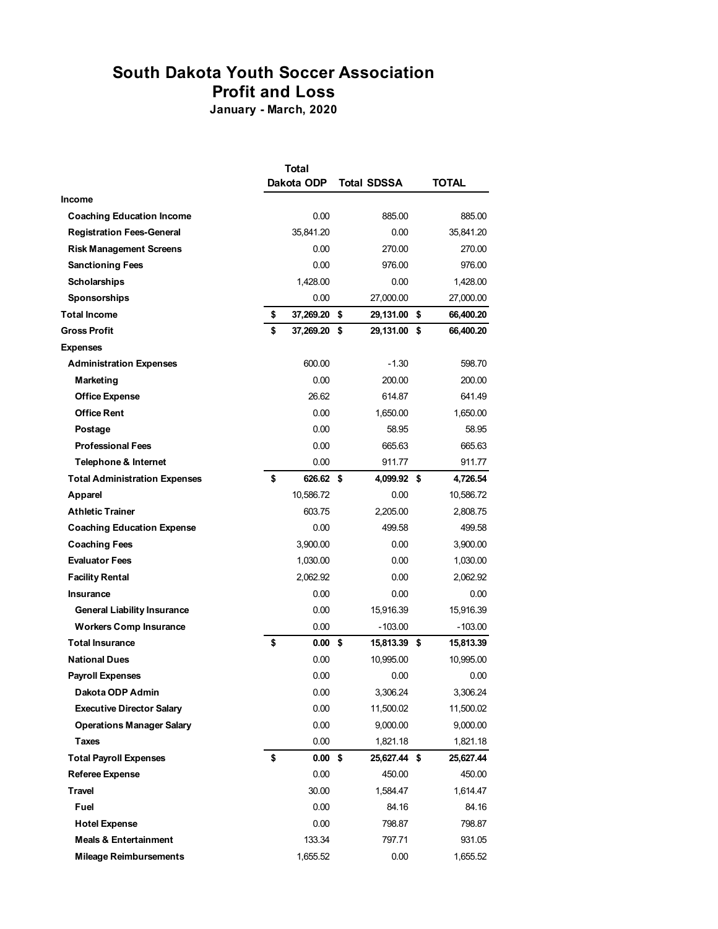## **South Dakota Youth Soccer Association**

**Profit and Loss**

**January - March, 2020**

|                                      | <b>Total</b>       |      |                    |    |              |  |  |
|--------------------------------------|--------------------|------|--------------------|----|--------------|--|--|
|                                      | Dakota ODP         |      | <b>Total SDSSA</b> |    | <b>TOTAL</b> |  |  |
| Income                               |                    |      |                    |    |              |  |  |
| <b>Coaching Education Income</b>     | 0.00               |      | 885.00             |    | 885.00       |  |  |
| <b>Registration Fees-General</b>     | 35,841.20          |      | 0.00               |    | 35,841.20    |  |  |
| <b>Risk Management Screens</b>       | 0.00               |      | 270.00             |    | 270.00       |  |  |
| <b>Sanctioning Fees</b>              | 0.00               |      | 976.00             |    | 976.00       |  |  |
| <b>Scholarships</b>                  | 1,428.00           |      | 0.00               |    | 1,428.00     |  |  |
| <b>Sponsorships</b>                  | 0.00               |      | 27,000.00          |    | 27,000.00    |  |  |
| <b>Total Income</b>                  | \$<br>37,269.20    | \$   | 29,131.00          | \$ | 66,400.20    |  |  |
| <b>Gross Profit</b>                  | \$<br>37,269.20 \$ |      | 29,131.00 \$       |    | 66,400.20    |  |  |
| <b>Expenses</b>                      |                    |      |                    |    |              |  |  |
| <b>Administration Expenses</b>       | 600.00             |      | $-1.30$            |    | 598.70       |  |  |
| Marketing                            | 0.00               |      | 200.00             |    | 200.00       |  |  |
| <b>Office Expense</b>                | 26.62              |      | 614.87             |    | 641.49       |  |  |
| <b>Office Rent</b>                   | 0.00               |      | 1,650.00           |    | 1,650.00     |  |  |
| Postage                              | 0.00               |      | 58.95              |    | 58.95        |  |  |
| <b>Professional Fees</b>             | 0.00               |      | 665.63             |    | 665.63       |  |  |
| <b>Telephone &amp; Internet</b>      | 0.00               |      | 911.77             |    | 911.77       |  |  |
| <b>Total Administration Expenses</b> | \$<br>626.62 \$    |      | 4,099.92 \$        |    | 4,726.54     |  |  |
| Apparel                              | 10,586.72          |      | 0.00               |    | 10,586.72    |  |  |
| <b>Athletic Trainer</b>              | 603.75             |      | 2,205.00           |    | 2,808.75     |  |  |
| <b>Coaching Education Expense</b>    | 0.00               |      | 499.58             |    | 499.58       |  |  |
| <b>Coaching Fees</b>                 | 3,900.00           |      | 0.00               |    | 3,900.00     |  |  |
| <b>Evaluator Fees</b>                | 1,030.00           |      | 0.00               |    | 1,030.00     |  |  |
| <b>Facility Rental</b>               | 2,062.92           |      | 0.00               |    | 2,062.92     |  |  |
| <b>Insurance</b>                     | 0.00               |      | 0.00               |    | 0.00         |  |  |
| <b>General Liability Insurance</b>   | 0.00               |      | 15,916.39          |    | 15,916.39    |  |  |
| <b>Workers Comp Insurance</b>        | 0.00               |      | $-103.00$          |    | $-103.00$    |  |  |
| <b>Total Insurance</b>               | \$<br>0.00         | - \$ | 15,813.39 \$       |    | 15,813.39    |  |  |
| <b>National Dues</b>                 | 0.00               |      | 10,995.00          |    | 10,995.00    |  |  |
| <b>Payroll Expenses</b>              | 0.00               |      | 0.00               |    | 0.00         |  |  |
| Dakota ODP Admin                     | 0.00               |      | 3,306.24           |    | 3,306.24     |  |  |
| <b>Executive Director Salary</b>     | 0.00               |      | 11,500.02          |    | 11,500.02    |  |  |
| <b>Operations Manager Salary</b>     | 0.00               |      | 9,000.00           |    | 9,000.00     |  |  |
| <b>Taxes</b>                         | 0.00               |      | 1,821.18           |    | 1,821.18     |  |  |
| <b>Total Payroll Expenses</b>        | \$<br>$0.00$ \$    |      | 25,627.44 \$       |    | 25,627.44    |  |  |
| <b>Referee Expense</b>               | 0.00               |      | 450.00             |    | 450.00       |  |  |
| Travel                               | 30.00              |      | 1,584.47           |    | 1,614.47     |  |  |
| Fuel                                 | 0.00               |      | 84.16              |    | 84.16        |  |  |
| <b>Hotel Expense</b>                 | 0.00               |      | 798.87             |    | 798.87       |  |  |
| <b>Meals &amp; Entertainment</b>     | 133.34             |      | 797.71             |    | 931.05       |  |  |
| <b>Mileage Reimbursements</b>        | 1,655.52           |      | 0.00               |    | 1,655.52     |  |  |